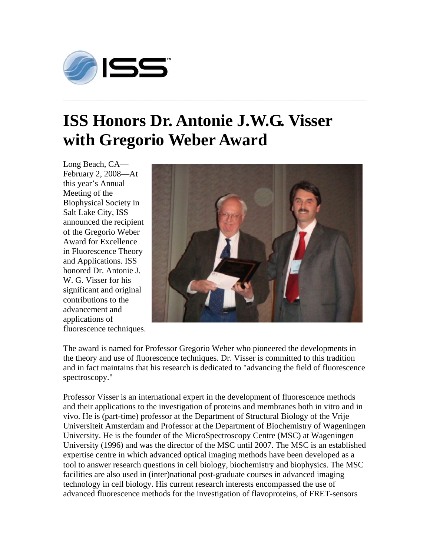

## **ISS Honors Dr. Antonie J.W.G. Visser with Gregorio Weber Award**

**\_\_\_\_\_\_\_\_\_\_\_\_\_\_\_\_\_\_\_\_\_\_\_\_\_\_\_\_\_\_\_\_\_\_\_\_\_\_\_\_\_\_\_\_\_\_\_\_\_\_\_\_\_\_\_\_\_\_\_\_\_\_\_\_\_\_\_\_\_\_\_\_\_\_\_\_\_\_\_\_\_\_\_\_\_\_\_\_\_\_\_\_\_\_\_\_\_\_\_\_\_\_\_\_\_\_\_\_** 

Long Beach, CA— February 2, 2008—At this year's Annual Meeting of the Biophysical Society in Salt Lake City, ISS announced the recipient of the Gregorio Weber Award for Excellence in Fluorescence Theory and Applications. ISS honored Dr. Antonie J. W. G. Visser for his significant and original contributions to the advancement and applications of fluorescence techniques.



The award is named for Professor Gregorio Weber who pioneered the developments in the theory and use of fluorescence techniques. Dr. Visser is committed to this tradition and in fact maintains that his research is dedicated to "advancing the field of fluorescence spectroscopy."

Professor Visser is an international expert in the development of fluorescence methods and their applications to the investigation of proteins and membranes both in vitro and in vivo. He is (part-time) professor at the Department of Structural Biology of the Vrije Universiteit Amsterdam and Professor at the Department of Biochemistry of Wageningen University. He is the founder of the MicroSpectroscopy Centre (MSC) at Wageningen University (1996) and was the director of the MSC until 2007. The MSC is an established expertise centre in which advanced optical imaging methods have been developed as a tool to answer research questions in cell biology, biochemistry and biophysics. The MSC facilities are also used in (inter)national post-graduate courses in advanced imaging technology in cell biology. His current research interests encompassed the use of advanced fluorescence methods for the investigation of flavoproteins, of FRET-sensors